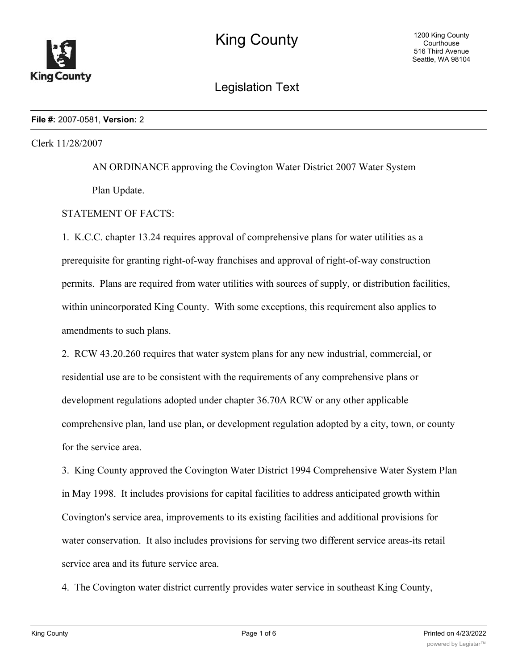

# Legislation Text

#### **File #:** 2007-0581, **Version:** 2

# Clerk 11/28/2007

AN ORDINANCE approving the Covington Water District 2007 Water System Plan Update.

# STATEMENT OF FACTS:

1. K.C.C. chapter 13.24 requires approval of comprehensive plans for water utilities as a prerequisite for granting right-of-way franchises and approval of right-of-way construction permits. Plans are required from water utilities with sources of supply, or distribution facilities, within unincorporated King County. With some exceptions, this requirement also applies to amendments to such plans.

2. RCW 43.20.260 requires that water system plans for any new industrial, commercial, or residential use are to be consistent with the requirements of any comprehensive plans or development regulations adopted under chapter 36.70A RCW or any other applicable comprehensive plan, land use plan, or development regulation adopted by a city, town, or county for the service area.

3. King County approved the Covington Water District 1994 Comprehensive Water System Plan in May 1998. It includes provisions for capital facilities to address anticipated growth within Covington's service area, improvements to its existing facilities and additional provisions for water conservation. It also includes provisions for serving two different service areas-its retail service area and its future service area.

4. The Covington water district currently provides water service in southeast King County,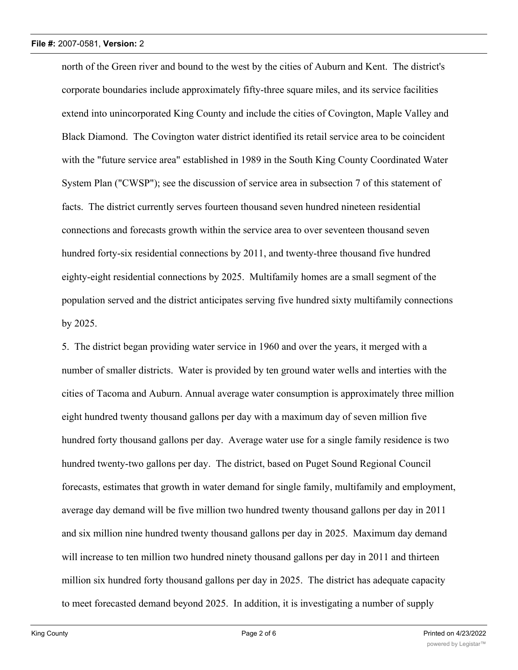north of the Green river and bound to the west by the cities of Auburn and Kent. The district's corporate boundaries include approximately fifty-three square miles, and its service facilities extend into unincorporated King County and include the cities of Covington, Maple Valley and Black Diamond. The Covington water district identified its retail service area to be coincident with the "future service area" established in 1989 in the South King County Coordinated Water System Plan ("CWSP"); see the discussion of service area in subsection 7 of this statement of facts. The district currently serves fourteen thousand seven hundred nineteen residential connections and forecasts growth within the service area to over seventeen thousand seven hundred forty-six residential connections by 2011, and twenty-three thousand five hundred eighty-eight residential connections by 2025. Multifamily homes are a small segment of the population served and the district anticipates serving five hundred sixty multifamily connections by 2025.

5. The district began providing water service in 1960 and over the years, it merged with a number of smaller districts. Water is provided by ten ground water wells and interties with the cities of Tacoma and Auburn. Annual average water consumption is approximately three million eight hundred twenty thousand gallons per day with a maximum day of seven million five hundred forty thousand gallons per day. Average water use for a single family residence is two hundred twenty-two gallons per day. The district, based on Puget Sound Regional Council forecasts, estimates that growth in water demand for single family, multifamily and employment, average day demand will be five million two hundred twenty thousand gallons per day in 2011 and six million nine hundred twenty thousand gallons per day in 2025. Maximum day demand will increase to ten million two hundred ninety thousand gallons per day in 2011 and thirteen million six hundred forty thousand gallons per day in 2025. The district has adequate capacity to meet forecasted demand beyond 2025. In addition, it is investigating a number of supply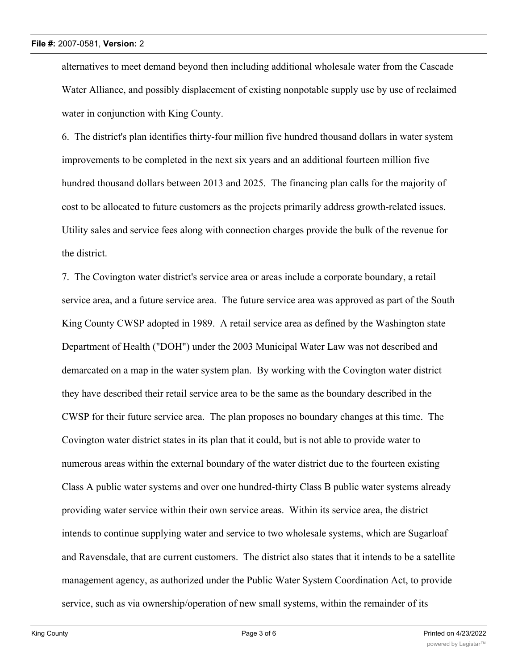alternatives to meet demand beyond then including additional wholesale water from the Cascade Water Alliance, and possibly displacement of existing nonpotable supply use by use of reclaimed water in conjunction with King County.

6. The district's plan identifies thirty-four million five hundred thousand dollars in water system improvements to be completed in the next six years and an additional fourteen million five hundred thousand dollars between 2013 and 2025. The financing plan calls for the majority of cost to be allocated to future customers as the projects primarily address growth-related issues. Utility sales and service fees along with connection charges provide the bulk of the revenue for the district.

7. The Covington water district's service area or areas include a corporate boundary, a retail service area, and a future service area. The future service area was approved as part of the South King County CWSP adopted in 1989. A retail service area as defined by the Washington state Department of Health ("DOH") under the 2003 Municipal Water Law was not described and demarcated on a map in the water system plan. By working with the Covington water district they have described their retail service area to be the same as the boundary described in the CWSP for their future service area. The plan proposes no boundary changes at this time. The Covington water district states in its plan that it could, but is not able to provide water to numerous areas within the external boundary of the water district due to the fourteen existing Class A public water systems and over one hundred-thirty Class B public water systems already providing water service within their own service areas. Within its service area, the district intends to continue supplying water and service to two wholesale systems, which are Sugarloaf and Ravensdale, that are current customers. The district also states that it intends to be a satellite management agency, as authorized under the Public Water System Coordination Act, to provide service, such as via ownership/operation of new small systems, within the remainder of its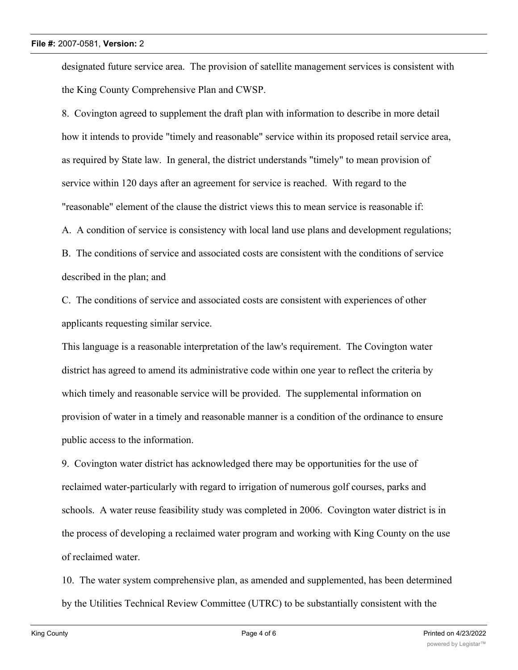### **File #:** 2007-0581, **Version:** 2

designated future service area. The provision of satellite management services is consistent with the King County Comprehensive Plan and CWSP.

8. Covington agreed to supplement the draft plan with information to describe in more detail how it intends to provide "timely and reasonable" service within its proposed retail service area, as required by State law. In general, the district understands "timely" to mean provision of service within 120 days after an agreement for service is reached. With regard to the "reasonable" element of the clause the district views this to mean service is reasonable if: A. A condition of service is consistency with local land use plans and development regulations; B. The conditions of service and associated costs are consistent with the conditions of service described in the plan; and

C. The conditions of service and associated costs are consistent with experiences of other applicants requesting similar service.

This language is a reasonable interpretation of the law's requirement. The Covington water district has agreed to amend its administrative code within one year to reflect the criteria by which timely and reasonable service will be provided. The supplemental information on provision of water in a timely and reasonable manner is a condition of the ordinance to ensure public access to the information.

9. Covington water district has acknowledged there may be opportunities for the use of reclaimed water-particularly with regard to irrigation of numerous golf courses, parks and schools. A water reuse feasibility study was completed in 2006. Covington water district is in the process of developing a reclaimed water program and working with King County on the use of reclaimed water.

10. The water system comprehensive plan, as amended and supplemented, has been determined by the Utilities Technical Review Committee (UTRC) to be substantially consistent with the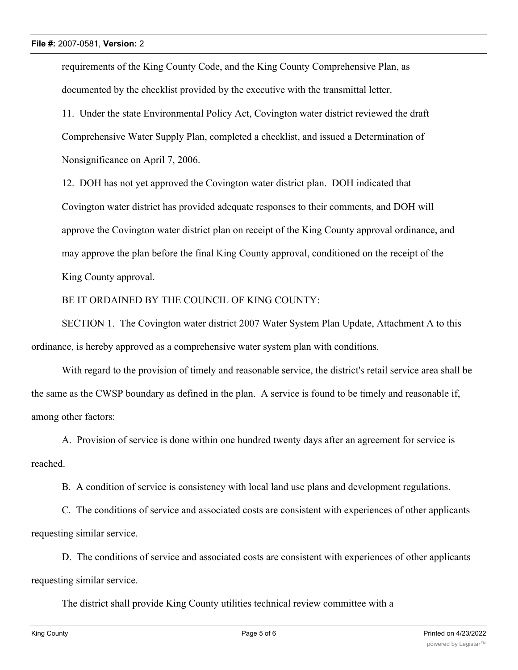requirements of the King County Code, and the King County Comprehensive Plan, as documented by the checklist provided by the executive with the transmittal letter.

11. Under the state Environmental Policy Act, Covington water district reviewed the draft Comprehensive Water Supply Plan, completed a checklist, and issued a Determination of Nonsignificance on April 7, 2006.

12. DOH has not yet approved the Covington water district plan. DOH indicated that Covington water district has provided adequate responses to their comments, and DOH will approve the Covington water district plan on receipt of the King County approval ordinance, and may approve the plan before the final King County approval, conditioned on the receipt of the King County approval.

# BE IT ORDAINED BY THE COUNCIL OF KING COUNTY:

SECTION 1. The Covington water district 2007 Water System Plan Update, Attachment A to this ordinance, is hereby approved as a comprehensive water system plan with conditions.

With regard to the provision of timely and reasonable service, the district's retail service area shall be the same as the CWSP boundary as defined in the plan. A service is found to be timely and reasonable if, among other factors:

A. Provision of service is done within one hundred twenty days after an agreement for service is reached.

B. A condition of service is consistency with local land use plans and development regulations.

C. The conditions of service and associated costs are consistent with experiences of other applicants requesting similar service.

D. The conditions of service and associated costs are consistent with experiences of other applicants requesting similar service.

The district shall provide King County utilities technical review committee with a